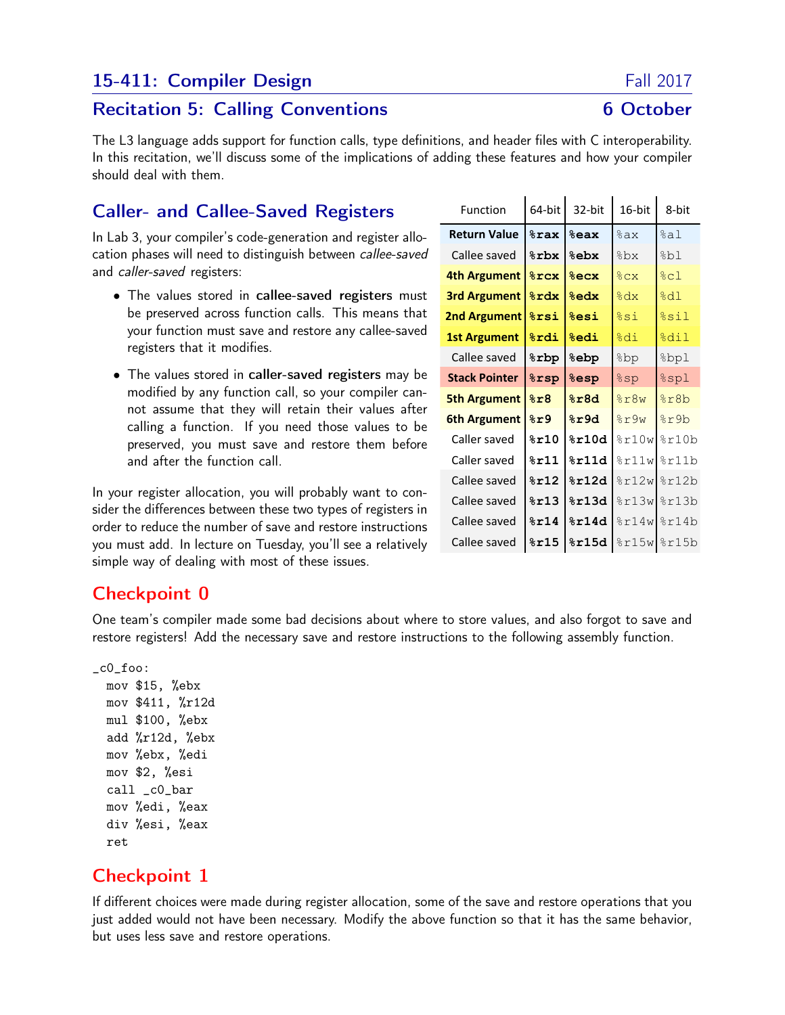## 15-411: Compiler Design Fall 2017

#### Recitation 5: Calling Conventions **6 October**

The L3 language adds support for function calls, type definitions, and header files with C interoperability. In this recitation, we'll discuss some of the implications of adding these features and how your compiler should deal with them.

# Caller- and Callee-Saved Registers

In Lab 3, your compiler's code-generation and register allocation phases will need to distinguish between callee-saved and caller-saved registers:

- The values stored in callee-saved registers must be preserved across function calls. This means that your function must save and restore any callee-saved registers that it modifies.
- The values stored in caller-saved registers may be modified by any function call, so your compiler cannot assume that they will retain their values after calling a function. If you need those values to be preserved, you must save and restore them before and after the function call.

In your register allocation, you will probably want to consider the differences between these two types of registers in order to reduce the number of save and restore instructions you must add. In lecture on Tuesday, you'll see a relatively simple way of dealing with most of these issues.

| Function             | 64-bit          | 32-bit                   | 16-bit             | 8-bit                               |
|----------------------|-----------------|--------------------------|--------------------|-------------------------------------|
| <b>Return Value</b>  | $8$ rax         | <b><i><u>eax</u></i></b> | %ax                | %a1                                 |
| Callee saved         | %rbx            | %ebx                     | %bx                | %bl                                 |
| 4th Argument         | $8$ rcx         | $8$ ecx                  | %CX                | kcl                                 |
| <b>3rd Argument</b>  | <b>&amp;rdx</b> | <b>&amp;edx</b>          | %dx                | 8d1                                 |
| <b>2nd Argument</b>  | <b>&amp;rsi</b> | %esi                     | %si                | %sil                                |
| <b>1st Argument</b>  | $8$ rdi         | <b>&amp;edi</b>          | %di                | %dil                                |
| Callee saved         | <b>&amp;rbp</b> | <b>&amp;epp</b>          | ad&                | %bpl                                |
| <b>Stack Pointer</b> | %rsp            | <b>&amp;esp</b>          | %sp                | %spl                                |
| <b>5th Argument</b>  | 8r8             | 8r8d                     | 8r8w               | %r8b                                |
| 6th Argument         | 8r9             | 8r9d                     | 8r9w               | sr9b                                |
| Caller saved         | 8r10            | 8r10d                    | 8r10w              | 8r10b                               |
| Caller saved         | 8r11            | 8r11d                    | 8r11w              | %r11b                               |
| Callee saved         | 8r12            | 8r12d                    | 8r12w              | 8r12b                               |
| Callee saved         | 8r13            | 8r13d                    | $\frac{13w}{ }$    | %r13b                               |
| Callee saved         | 8r14            | 8r14d                    | $\frac{1}{2}$ r14w | 8r14b                               |
| Callee saved         | $8$ r $15$      | 8r15d                    |                    | $\frac{15w}{2}$ and $\frac{15b}{2}$ |

 $\mathbf{r}$ 

 $\mathbf{r}$ 

 $\mathbf{I}$ 

# Checkpoint 0

One team's compiler made some bad decisions about where to store values, and also forgot to save and restore registers! Add the necessary save and restore instructions to the following assembly function.

```
_c0_foo:
 mov $15, %ebx
 mov $411, %r12d
 mul $100, %ebx
  add %r12d, %ebx
 mov %ebx, %edi
 mov $2, %esi
 call _c0_bar
 mov %edi, %eax
 div %esi, %eax
 ret
```
### Checkpoint 1

If different choices were made during register allocation, some of the save and restore operations that you just added would not have been necessary. Modify the above function so that it has the same behavior, but uses less save and restore operations.

 $\blacksquare$